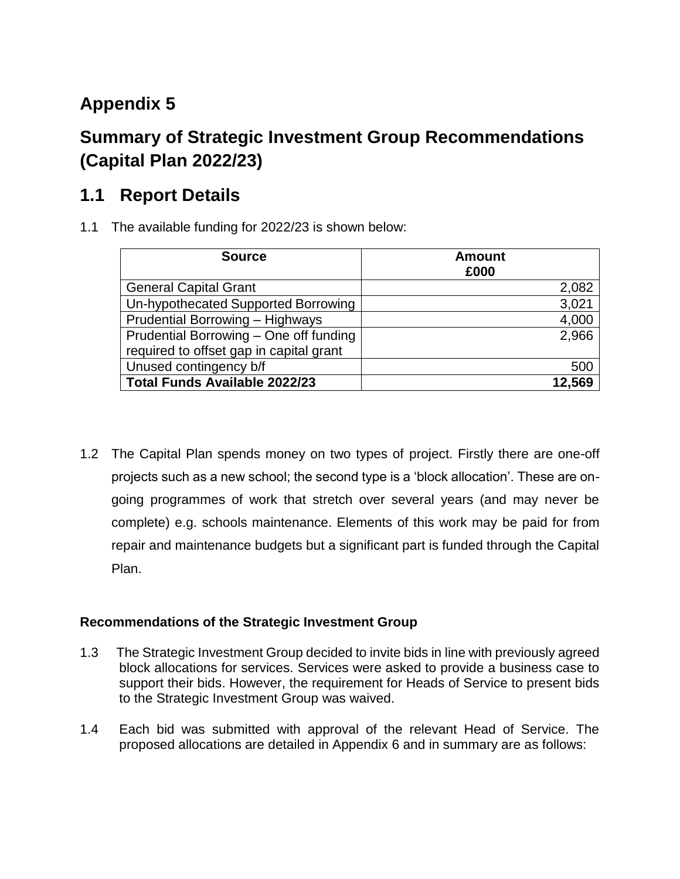## **Appendix 5**

## **Summary of Strategic Investment Group Recommendations (Capital Plan 2022/23)**

## **1.1 Report Details**

1.1 The available funding for 2022/23 is shown below:

| <b>Source</b>                           | <b>Amount</b><br>£000 |
|-----------------------------------------|-----------------------|
| <b>General Capital Grant</b>            | 2,082                 |
| Un-hypothecated Supported Borrowing     | 3,021                 |
| Prudential Borrowing - Highways         | 4,000                 |
| Prudential Borrowing - One off funding  | 2,966                 |
| required to offset gap in capital grant |                       |
| Unused contingency b/f                  | 500                   |
| <b>Total Funds Available 2022/23</b>    | 12,569                |

1.2 The Capital Plan spends money on two types of project. Firstly there are one-off projects such as a new school; the second type is a 'block allocation'. These are ongoing programmes of work that stretch over several years (and may never be complete) e.g. schools maintenance. Elements of this work may be paid for from repair and maintenance budgets but a significant part is funded through the Capital Plan.

## **Recommendations of the Strategic Investment Group**

- 1.3 The Strategic Investment Group decided to invite bids in line with previously agreed block allocations for services. Services were asked to provide a business case to support their bids. However, the requirement for Heads of Service to present bids to the Strategic Investment Group was waived.
- 1.4 Each bid was submitted with approval of the relevant Head of Service. The proposed allocations are detailed in Appendix 6 and in summary are as follows: